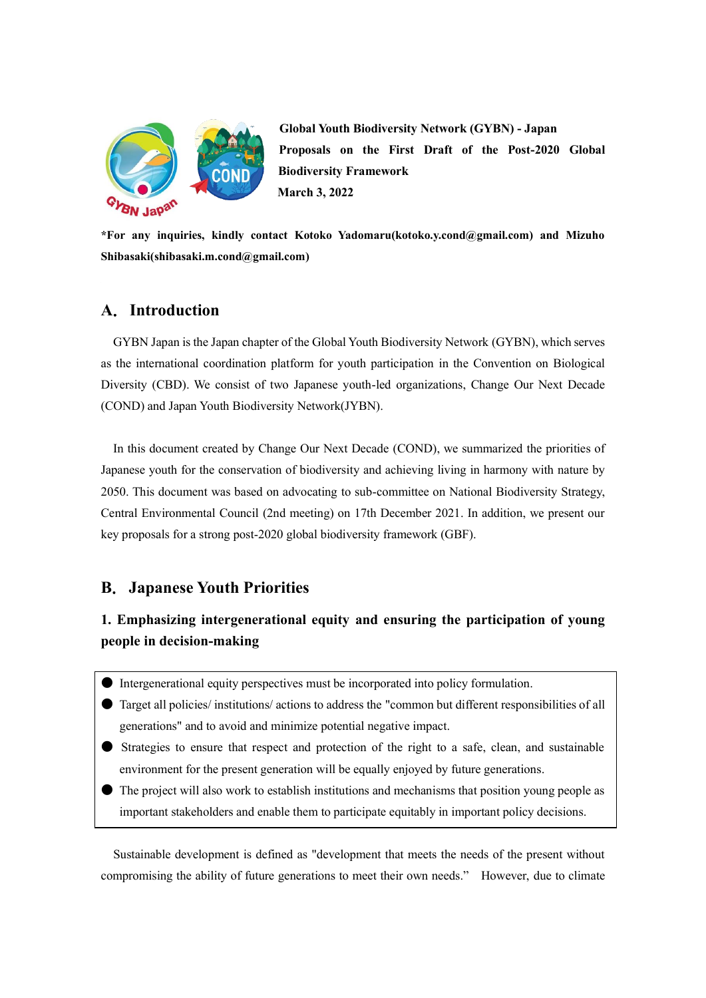

**Global Youth Biodiversity Network (GYBN) - Japan Proposals on the First Draft of the Post-2020 Global Biodiversity Framework March 3, 2022**

**\*For any inquiries, kindly contact Kotoko Yadomaru(kotoko.y.cond@gmail.com) and Mizuho Shibasaki(shibasaki.m.cond@gmail.com)**

## **A**.**Introduction**

 GYBN Japan is the Japan chapter of the Global Youth Biodiversity Network (GYBN), which serves as the international coordination platform for youth participation in the Convention on Biological Diversity (CBD). We consist of two Japanese youth-led organizations, Change Our Next Decade (COND) and Japan Youth Biodiversity Network(JYBN).

In this document created by Change Our Next Decade (COND), we summarized the priorities of Japanese youth for the conservation of biodiversity and achieving living in harmony with nature by 2050. This document was based on advocating to sub-committee on National Biodiversity Strategy, Central Environmental Council (2nd meeting) on 17th December 2021. In addition, we present our key proposals for a strong post-2020 global biodiversity framework (GBF).

# **B**.**Japanese Youth Priorities**

# **1. Emphasizing intergenerational equity and ensuring the participation of young people in decision-making**

- Intergenerational equity perspectives must be incorporated into policy formulation.
- Target all policies/ institutions/ actions to address the "common but different responsibilities of all generations" and to avoid and minimize potential negative impact.
- Strategies to ensure that respect and protection of the right to a safe, clean, and sustainable environment for the present generation will be equally enjoyed by future generations.
- The project will also work to establish institutions and mechanisms that position young people as important stakeholders and enable them to participate equitably in important policy decisions.

Sustainable development is defined as "development that meets the needs of the present without compromising the ability of future generations to meet their own needs." However, due to climate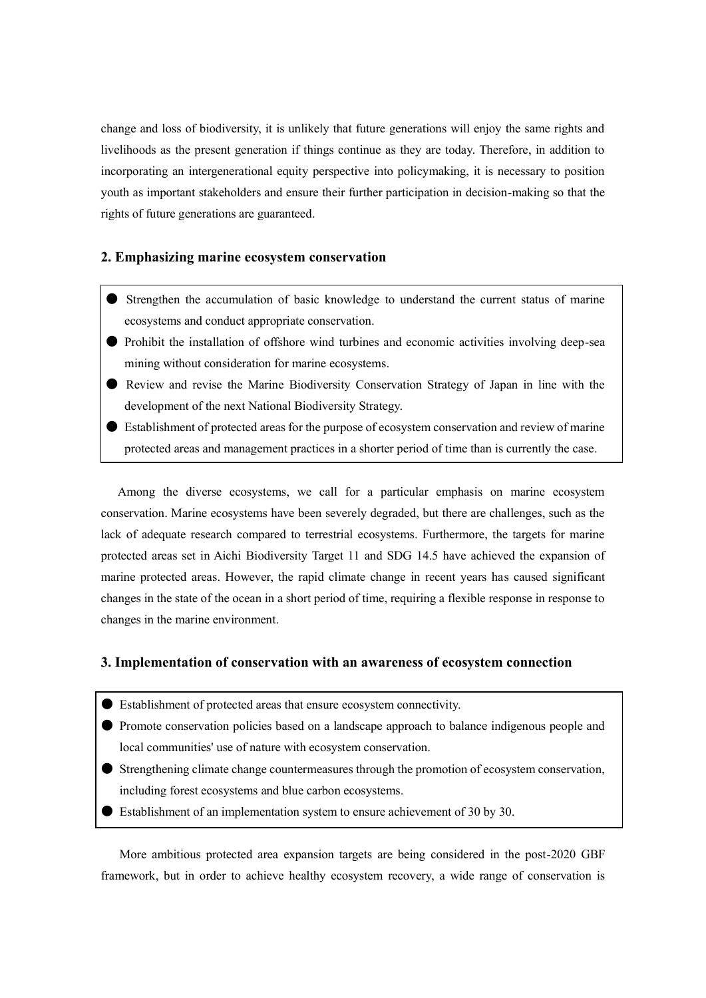change and loss of biodiversity, it is unlikely that future generations will enjoy the same rights and livelihoods as the present generation if things continue as they are today. Therefore, in addition to incorporating an intergenerational equity perspective into policymaking, it is necessary to position youth as important stakeholders and ensure their further participation in decision-making so that the rights of future generations are guaranteed.

#### **2. Emphasizing marine ecosystem conservation**

- Strengthen the accumulation of basic knowledge to understand the current status of marine ecosystems and conduct appropriate conservation.
- Prohibit the installation of offshore wind turbines and economic activities involving deep-sea mining without consideration for marine ecosystems.
- Review and revise the Marine Biodiversity Conservation Strategy of Japan in line with the development of the next National Biodiversity Strategy.
- Establishment of protected areas for the purpose of ecosystem conservation and review of marine protected areas and management practices in a shorter period of time than is currently the case.

Among the diverse ecosystems, we call for a particular emphasis on marine ecosystem conservation. Marine ecosystems have been severely degraded, but there are challenges, such as the lack of adequate research compared to terrestrial ecosystems. Furthermore, the targets for marine protected areas set in Aichi Biodiversity Target 11 and SDG 14.5 have achieved the expansion of marine protected areas. However, the rapid climate change in recent years has caused significant changes in the state of the ocean in a short period of time, requiring a flexible response in response to changes in the marine environment.

#### **3. Implementation of conservation with an awareness of ecosystem connection**

- Establishment of protected areas that ensure ecosystem connectivity.
- Promote conservation policies based on a landscape approach to balance indigenous people and local communities' use of nature with ecosystem conservation.
- Strengthening climate change countermeasures through the promotion of ecosystem conservation, including forest ecosystems and blue carbon ecosystems.
- **Establishment of an implementation system to ensure achievement of 30 by 30.**

More ambitious protected area expansion targets are being considered in the post-2020 GBF framework, but in order to achieve healthy ecosystem recovery, a wide range of conservation is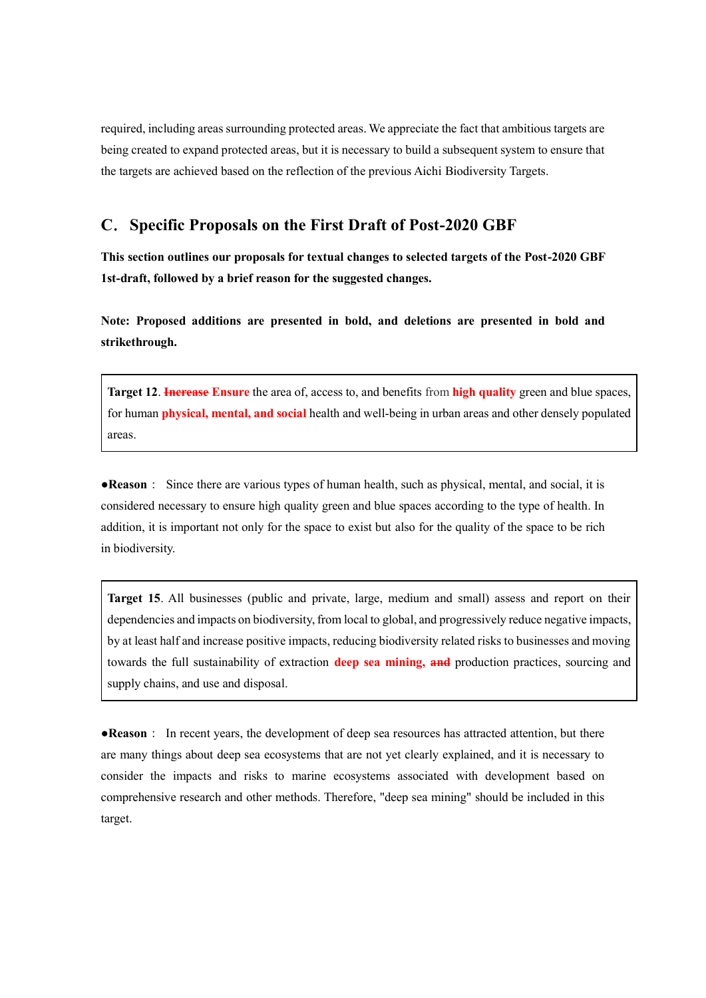required, including areas surrounding protected areas. We appreciate the fact that ambitious targets are being created to expand protected areas, but it is necessary to build a subsequent system to ensure that the targets are achieved based on the reflection of the previous Aichi Biodiversity Targets.

### **C**.**Specific Proposals on the First Draft of Post-2020 GBF**

**This section outlines our proposals for textual changes to selected targets of the Post-2020 GBF 1st-draft, followed by a brief reason for the suggested changes.**

**Note: Proposed additions are presented in bold, and deletions are presented in bold and strikethrough.**

**Target 12**. **Increase Ensure** the area of, access to, and benefits from **high quality** green and blue spaces, for human **physical, mental, and social** health and well-being in urban areas and other densely populated areas.

●**Reason**: Since there are various types of human health, such as physical, mental, and social, it is considered necessary to ensure high quality green and blue spaces according to the type of health. In addition, it is important not only for the space to exist but also for the quality of the space to be rich in biodiversity.

**Target 15**. All businesses (public and private, large, medium and small) assess and report on their dependencies and impacts on biodiversity, from local to global, and progressively reduce negative impacts, by at least half and increase positive impacts, reducing biodiversity related risks to businesses and moving towards the full sustainability of extraction **deep sea mining, and** production practices, sourcing and supply chains, and use and disposal.

●**Reason**: In recent years, the development of deep sea resources has attracted attention, but there are many things about deep sea ecosystems that are not yet clearly explained, and it is necessary to consider the impacts and risks to marine ecosystems associated with development based on comprehensive research and other methods. Therefore, "deep sea mining" should be included in this target.